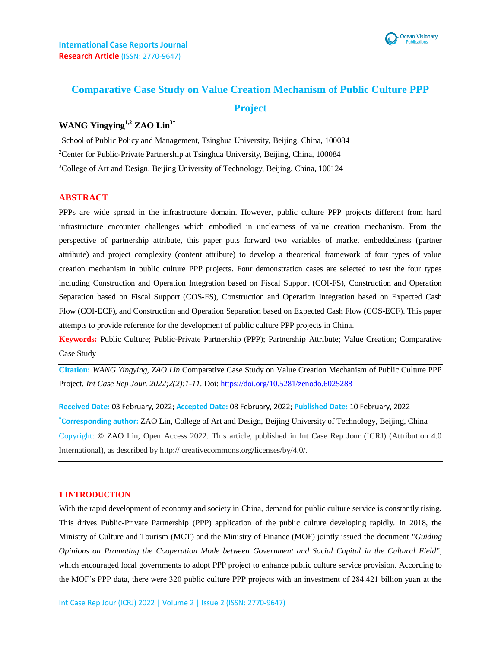

# **Comparative Case Study on Value Creation Mechanism of Public Culture PPP Project**

# **WANG Yingying1,2 ZAO Lin3\***

<sup>1</sup>School of Public Policy and Management, Tsinghua University, Beijing, China, 100084 <sup>2</sup>Center for Public-Private Partnership at Tsinghua University, Beijing, China, 100084 <sup>3</sup>College of Art and Design, Beijing University of Technology, Beijing, China, 100124

# **ABSTRACT**

PPPs are wide spread in the infrastructure domain. However, public culture PPP projects different from hard infrastructure encounter challenges which embodied in unclearness of value creation mechanism. From the perspective of partnership attribute, this paper puts forward two variables of market embeddedness (partner attribute) and project complexity (content attribute) to develop a theoretical framework of four types of value creation mechanism in public culture PPP projects. Four demonstration cases are selected to test the four types including Construction and Operation Integration based on Fiscal Support (COI-FS), Construction and Operation Separation based on Fiscal Support (COS-FS), Construction and Operation Integration based on Expected Cash Flow (COI-ECF), and Construction and Operation Separation based on Expected Cash Flow (COS-ECF). This paper attempts to provide reference for the development of public culture PPP projects in China.

**Keywords:** Public Culture; Public-Private Partnership (PPP); Partnership Attribute; Value Creation; Comparative Case Study

**Citation:** *WANG Yingying, ZAO Lin* Comparative Case Study on Value Creation Mechanism of Public Culture PPP Project*. Int Case Rep Jour. 2022;2(2):1-11.* Doi: <https://doi.org/10.5281/zenodo.6025288>

**Received Date:** 03 February, 2022; **Accepted Date:** 08 February, 2022; **Published Date:** 10 February, 2022 **\*Corresponding author:** ZAO Lin, College of Art and Design, Beijing University of Technology, Beijing, China Copyright: © ZAO Lin, Open Access 2022. This article, published in Int Case Rep Jour (ICRJ) (Attribution 4.0 International), as described by http:// creativecommons.org/licenses/by/4.0/.

### **1 INTRODUCTION**

With the rapid development of economy and society in China, demand for public culture service is constantly rising. This drives Public-Private Partnership (PPP) application of the public culture developing rapidly. In 2018, the Ministry of Culture and Tourism (MCT) and the Ministry of Finance (MOF) jointly issued the document "*Guiding Opinions on Promoting the Cooperation Mode between Government and Social Capital in the Cultural Field*", which encouraged local governments to adopt PPP project to enhance public culture service provision. According to the MOF's PPP data, there were 320 public culture PPP projects with an investment of 284.421 billion yuan at the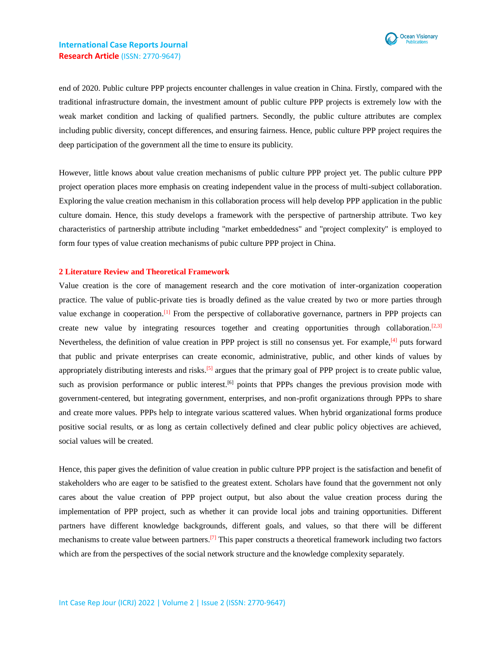

end of 2020. Public culture PPP projects encounter challenges in value creation in China. Firstly, compared with the traditional infrastructure domain, the investment amount of public culture PPP projects is extremely low with the weak market condition and lacking of qualified partners. Secondly, the public culture attributes are complex including public diversity, concept differences, and ensuring fairness. Hence, public culture PPP project requires the deep participation of the government all the time to ensure its publicity.

However, little knows about value creation mechanisms of public culture PPP project yet. The public culture PPP project operation places more emphasis on creating independent value in the process of multi-subject collaboration. Exploring the value creation mechanism in this collaboration process will help develop PPP application in the public culture domain. Hence, this study develops a framework with the perspective of partnership attribute. Two key characteristics of partnership attribute including "market embeddedness" and "project complexity" is employed to form four types of value creation mechanisms of pubic culture PPP project in China.

#### **2 Literature Review and Theoretical Framework**

Value creation is the core of management research and the core motivation of inter-organization cooperation practice. The value of public-private ties is broadly defined as the value created by two or more parties through value exchange in cooperation.<sup>[1]</sup> From the perspective of collaborative governance, partners in PPP projects can create new value by integrating resources together and creating opportunities through collaboration.<sup>[2,3]</sup> Nevertheless, the definition of value creation in PPP project is still no consensus yet. For example,[4] puts forward that public and private enterprises can create economic, administrative, public, and other kinds of values by appropriately distributing interests and risks.<sup>[5]</sup> argues that the primary goal of PPP project is to create public value, such as provision performance or public interest.<sup>[6]</sup> points that PPPs changes the previous provision mode with government-centered, but integrating government, enterprises, and non-profit organizations through PPPs to share and create more values. PPPs help to integrate various scattered values. When hybrid organizational forms produce positive social results, or as long as certain collectively defined and clear public policy objectives are achieved, social values will be created.

Hence, this paper gives the definition of value creation in public culture PPP project is the satisfaction and benefit of stakeholders who are eager to be satisfied to the greatest extent. Scholars have found that the government not only cares about the value creation of PPP project output, but also about the value creation process during the implementation of PPP project, such as whether it can provide local jobs and training opportunities. Different partners have different knowledge backgrounds, different goals, and values, so that there will be different mechanisms to create value between partners.<sup>[7]</sup> This paper constructs a theoretical framework including two factors which are from the perspectives of the social network structure and the knowledge complexity separately.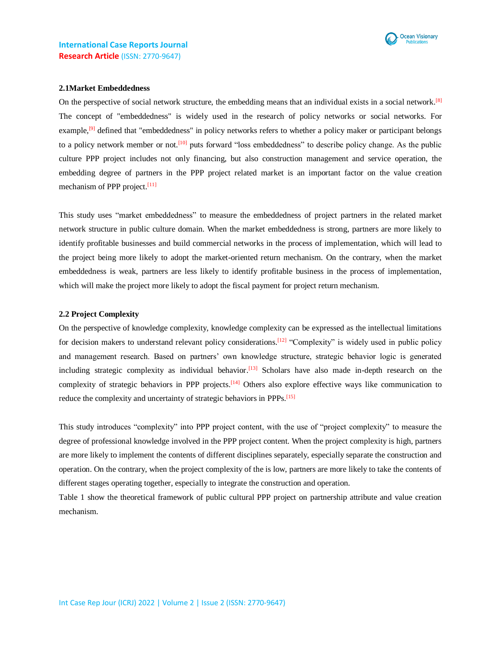

### **2.1Market Embeddedness**

On the perspective of social network structure, the embedding means that an individual exists in a social network.<sup>[8]</sup> The concept of "embeddedness" is widely used in the research of policy networks or social networks. For example,<sup>[9]</sup> defined that "embeddedness" in policy networks refers to whether a policy maker or participant belongs to a policy network member or not.<sup>[10]</sup> puts forward "loss embeddedness" to describe policy change. As the public culture PPP project includes not only financing, but also construction management and service operation, the embedding degree of partners in the PPP project related market is an important factor on the value creation mechanism of PPP project.<sup>[11]</sup>

This study uses "market embeddedness" to measure the embeddedness of project partners in the related market network structure in public culture domain. When the market embeddedness is strong, partners are more likely to identify profitable businesses and build commercial networks in the process of implementation, which will lead to the project being more likely to adopt the market-oriented return mechanism. On the contrary, when the market embeddedness is weak, partners are less likely to identify profitable business in the process of implementation, which will make the project more likely to adopt the fiscal payment for project return mechanism.

### **2.2 Project Complexity**

On the perspective of knowledge complexity, knowledge complexity can be expressed as the intellectual limitations for decision makers to understand relevant policy considerations.<sup>[12]</sup> "Complexity" is widely used in public policy and management research. Based on partners' own knowledge structure, strategic behavior logic is generated including strategic complexity as individual behavior.<sup>[13]</sup> Scholars have also made in-depth research on the complexity of strategic behaviors in PPP projects.<sup>[14]</sup> Others also explore effective ways like communication to reduce the complexity and uncertainty of strategic behaviors in PPPs.<sup>[15]</sup>

This study introduces "complexity" into PPP project content, with the use of "project complexity" to measure the degree of professional knowledge involved in the PPP project content. When the project complexity is high, partners are more likely to implement the contents of different disciplines separately, especially separate the construction and operation. On the contrary, when the project complexity of the is low, partners are more likely to take the contents of different stages operating together, especially to integrate the construction and operation.

Table 1 show the theoretical framework of public cultural PPP project on partnership attribute and value creation mechanism.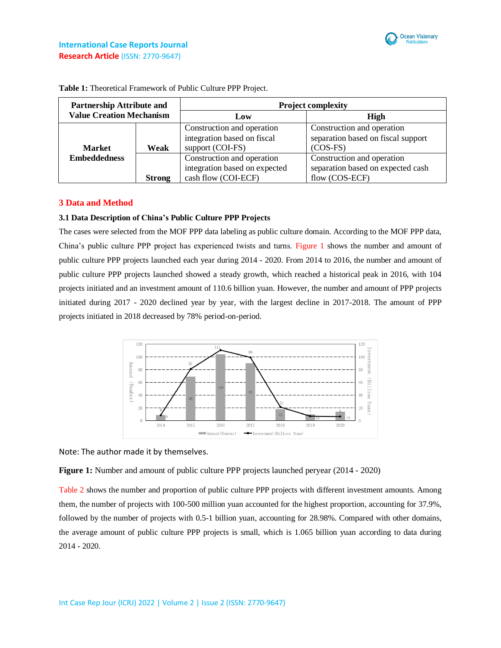

| <b>Partnership Attribute and</b><br><b>Value Creation Mechanism</b> |               | <b>Project complexity</b>                                                          |                                                                                   |
|---------------------------------------------------------------------|---------------|------------------------------------------------------------------------------------|-----------------------------------------------------------------------------------|
|                                                                     |               | Low                                                                                | High                                                                              |
| <b>Market</b>                                                       | Weak          | Construction and operation<br>integration based on fiscal<br>support (COI-FS)      | Construction and operation<br>separation based on fiscal support<br>$(COS-FS)$    |
| <b>Embeddedness</b>                                                 | <b>Strong</b> | Construction and operation<br>integration based on expected<br>cash flow (COI-ECF) | Construction and operation<br>separation based on expected cash<br>flow (COS-ECF) |

**Table 1:** Theoretical Framework of Public Culture PPP Project.

# **3 Data and Method**

## **3.1 Data Description of China's Public Culture PPP Projects**

The cases were selected from the MOF PPP data labeling as public culture domain. According to the MOF PPP data, China's public culture PPP project has experienced twists and turns. Figure 1 shows the number and amount of public culture PPP projects launched each year during 2014 - 2020. From 2014 to 2016, the number and amount of public culture PPP projects launched showed a steady growth, which reached a historical peak in 2016, with 104 projects initiated and an investment amount of 110.6 billion yuan. However, the number and amount of PPP projects initiated during 2017 - 2020 declined year by year, with the largest decline in 2017-2018. The amount of PPP projects initiated in 2018 decreased by 78% period-on-period.



Note: The author made it by themselves.

**Figure 1:** Number and amount of public culture PPP projects launched peryear (2014 - 2020)

Table 2 shows the number and proportion of public culture PPP projects with different investment amounts. Among them, the number of projects with 100-500 million yuan accounted for the highest proportion, accounting for 37.9%, followed by the number of projects with 0.5-1 billion yuan, accounting for 28.98%. Compared with other domains, the average amount of public culture PPP projects is small, which is 1.065 billion yuan according to data during 2014 - 2020.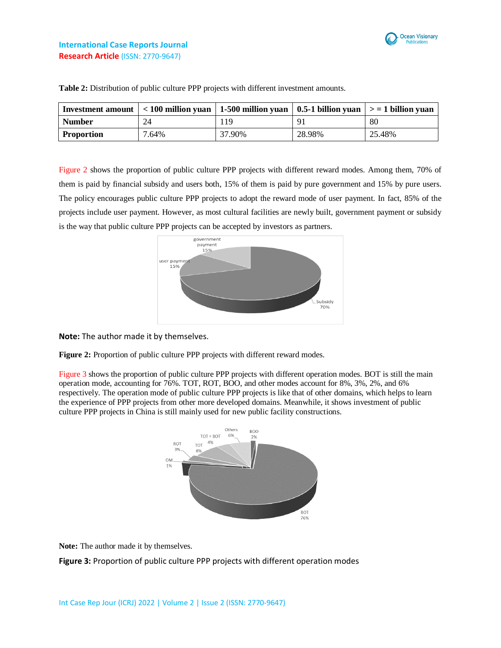

# **International Case Reports Journal Research Article** (ISSN: 2770-9647)

| Investment amount $ $ < 100 million yuan   1-500 million yuan   0.5-1 billion yuan   > = 1 billion yuan |       |        |        |        |
|---------------------------------------------------------------------------------------------------------|-------|--------|--------|--------|
| <b>Number</b>                                                                                           | 24    | 119    |        | 80     |
| <b>Proportion</b>                                                                                       | 7.64% | 37.90% | 28.98% | 25.48% |

**Table 2:** Distribution of public culture PPP projects with different investment amounts.

Figure 2 shows the proportion of public culture PPP projects with different reward modes. Among them, 70% of them is paid by financial subsidy and users both, 15% of them is paid by pure government and 15% by pure users. The policy encourages public culture PPP projects to adopt the reward mode of user payment. In fact, 85% of the projects include user payment. However, as most cultural facilities are newly built, government payment or subsidy is the way that public culture PPP projects can be accepted by investors as partners.



**Note:** The author made it by themselves.

**Figure 2:** Proportion of public culture PPP projects with different reward modes.

Figure 3 shows the proportion of public culture PPP projects with different operation modes. BOT is still the main operation mode, accounting for 76%. TOT, ROT, BOO, and other modes account for 8%, 3%, 2%, and 6% respectively. The operation mode of public culture PPP projects is like that of other domains, which helps to learn the experience of PPP projects from other more developed domains. Meanwhile, it shows investment of public culture PPP projects in China is still mainly used for new public facility constructions.



**Note:** The author made it by themselves.

**Figure 3:** Proportion of public culture PPP projects with different operation modes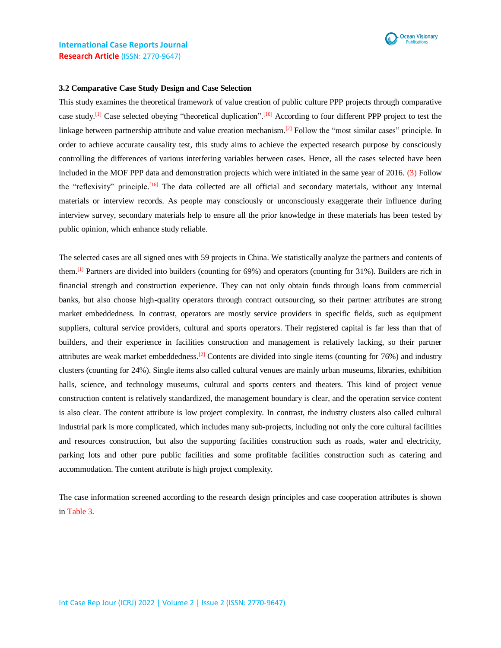

### **3.2 Comparative Case Study Design and Case Selection**

This study examines the theoretical framework of value creation of public culture PPP projects through comparative case study.<sup>[1]</sup> Case selected obeying "theoretical duplication".<sup>[16]</sup> According to four different PPP project to test the linkage between partnership attribute and value creation mechanism.<sup>[2]</sup> Follow the "most similar cases" principle. In order to achieve accurate causality test, this study aims to achieve the expected research purpose by consciously controlling the differences of various interfering variables between cases. Hence, all the cases selected have been included in the MOF PPP data and demonstration projects which were initiated in the same year of 2016. (3) Follow the "reflexivity" principle.<sup>[16]</sup> The data collected are all official and secondary materials, without any internal materials or interview records. As people may consciously or unconsciously exaggerate their influence during interview survey, secondary materials help to ensure all the prior knowledge in these materials has been tested by public opinion, which enhance study reliable.

The selected cases are all signed ones with 59 projects in China. We statistically analyze the partners and contents of them.<sup>[1]</sup> Partners are divided into builders (counting for  $69\%$ ) and operators (counting for  $31\%$ ). Builders are rich in financial strength and construction experience. They can not only obtain funds through loans from commercial banks, but also choose high-quality operators through contract outsourcing, so their partner attributes are strong market embeddedness. In contrast, operators are mostly service providers in specific fields, such as equipment suppliers, cultural service providers, cultural and sports operators. Their registered capital is far less than that of builders, and their experience in facilities construction and management is relatively lacking, so their partner attributes are weak market embeddedness.<sup>[2]</sup> Contents are divided into single items (counting for 76%) and industry clusters (counting for 24%). Single items also called cultural venues are mainly urban museums, libraries, exhibition halls, science, and technology museums, cultural and sports centers and theaters. This kind of project venue construction content is relatively standardized, the management boundary is clear, and the operation service content is also clear. The content attribute is low project complexity. In contrast, the industry clusters also called cultural industrial park is more complicated, which includes many sub-projects, including not only the core cultural facilities and resources construction, but also the supporting facilities construction such as roads, water and electricity, parking lots and other pure public facilities and some profitable facilities construction such as catering and accommodation. The content attribute is high project complexity.

The case information screened according to the research design principles and case cooperation attributes is shown in Table 3.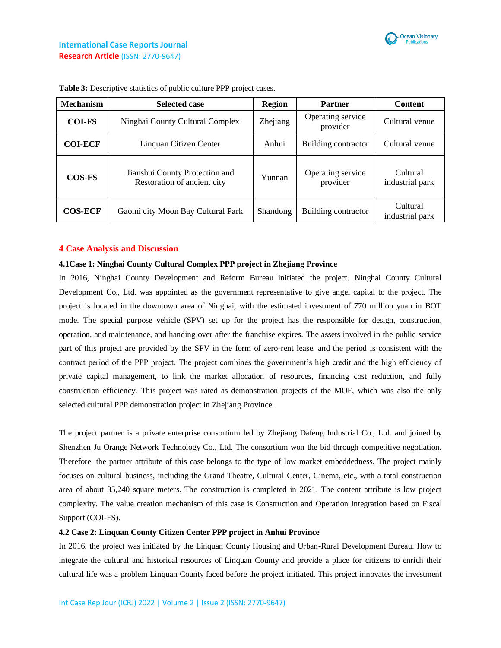

| <b>Mechanism</b> | <b>Selected case</b>                                          | <b>Region</b>   | Partner                                         | <b>Content</b>              |
|------------------|---------------------------------------------------------------|-----------------|-------------------------------------------------|-----------------------------|
| <b>COI-FS</b>    | Ninghai County Cultural Complex                               | Zhejiang        | Operating service<br>Cultural venue<br>provider |                             |
| <b>COI-ECF</b>   | Linquan Citizen Center                                        | Anhui           | Building contractor                             | Cultural venue              |
| <b>COS-FS</b>    | Jianshui County Protection and<br>Restoration of ancient city | Yunnan          | Operating service<br>provider                   | Cultural<br>industrial park |
| <b>COS-ECF</b>   | Gaomi city Moon Bay Cultural Park                             | <b>Shandong</b> | Building contractor                             | Cultural<br>industrial park |

**Table 3:** Descriptive statistics of public culture PPP project cases.

## **4 Case Analysis and Discussion**

## **4.1Case 1: Ninghai County Cultural Complex PPP project in Zhejiang Province**

In 2016, Ninghai County Development and Reform Bureau initiated the project. Ninghai County Cultural Development Co., Ltd. was appointed as the government representative to give angel capital to the project. The project is located in the downtown area of Ninghai, with the estimated investment of 770 million yuan in BOT mode. The special purpose vehicle (SPV) set up for the project has the responsible for design, construction, operation, and maintenance, and handing over after the franchise expires. The assets involved in the public service part of this project are provided by the SPV in the form of zero-rent lease, and the period is consistent with the contract period of the PPP project. The project combines the government's high credit and the high efficiency of private capital management, to link the market allocation of resources, financing cost reduction, and fully construction efficiency. This project was rated as demonstration projects of the MOF, which was also the only selected cultural PPP demonstration project in Zhejiang Province.

The project partner is a private enterprise consortium led by Zhejiang Dafeng Industrial Co., Ltd. and joined by Shenzhen Ju Orange Network Technology Co., Ltd. The consortium won the bid through competitive negotiation. Therefore, the partner attribute of this case belongs to the type of low market embeddedness. The project mainly focuses on cultural business, including the Grand Theatre, Cultural Center, Cinema, etc., with a total construction area of about 35,240 square meters. The construction is completed in 2021. The content attribute is low project complexity. The value creation mechanism of this case is Construction and Operation Integration based on Fiscal Support (COI-FS).

## **4.2 Case 2: Linquan County Citizen Center PPP project in Anhui Province**

In 2016, the project was initiated by the Linquan County Housing and Urban-Rural Development Bureau. How to integrate the cultural and historical resources of Linquan County and provide a place for citizens to enrich their cultural life was a problem Linquan County faced before the project initiated. This project innovates the investment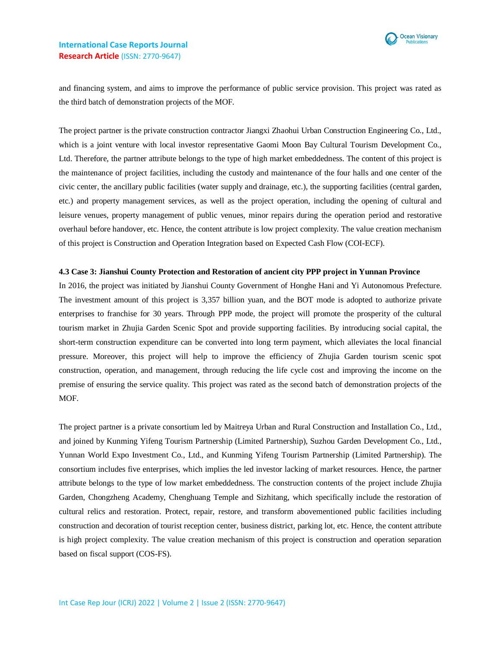

and financing system, and aims to improve the performance of public service provision. This project was rated as the third batch of demonstration projects of the MOF.

The project partner is the private construction contractor Jiangxi Zhaohui Urban Construction Engineering Co., Ltd., which is a joint venture with local investor representative Gaomi Moon Bay Cultural Tourism Development Co., Ltd. Therefore, the partner attribute belongs to the type of high market embeddedness. The content of this project is the maintenance of project facilities, including the custody and maintenance of the four halls and one center of the civic center, the ancillary public facilities (water supply and drainage, etc.), the supporting facilities (central garden, etc.) and property management services, as well as the project operation, including the opening of cultural and leisure venues, property management of public venues, minor repairs during the operation period and restorative overhaul before handover, etc. Hence, the content attribute is low project complexity. The value creation mechanism of this project is Construction and Operation Integration based on Expected Cash Flow (COI-ECF).

#### **4.3 Case 3: Jianshui County Protection and Restoration of ancient city PPP project in Yunnan Province**

In 2016, the project was initiated by Jianshui County Government of Honghe Hani and Yi Autonomous Prefecture. The investment amount of this project is 3,357 billion yuan, and the BOT mode is adopted to authorize private enterprises to franchise for 30 years. Through PPP mode, the project will promote the prosperity of the cultural tourism market in Zhujia Garden Scenic Spot and provide supporting facilities. By introducing social capital, the short-term construction expenditure can be converted into long term payment, which alleviates the local financial pressure. Moreover, this project will help to improve the efficiency of Zhujia Garden tourism scenic spot construction, operation, and management, through reducing the life cycle cost and improving the income on the premise of ensuring the service quality. This project was rated as the second batch of demonstration projects of the MOF.

The project partner is a private consortium led by Maitreya Urban and Rural Construction and Installation Co., Ltd., and joined by Kunming Yifeng Tourism Partnership (Limited Partnership), Suzhou Garden Development Co., Ltd., Yunnan World Expo Investment Co., Ltd., and Kunming Yifeng Tourism Partnership (Limited Partnership). The consortium includes five enterprises, which implies the led investor lacking of market resources. Hence, the partner attribute belongs to the type of low market embeddedness. The construction contents of the project include Zhujia Garden, Chongzheng Academy, Chenghuang Temple and Sizhitang, which specifically include the restoration of cultural relics and restoration. Protect, repair, restore, and transform abovementioned public facilities including construction and decoration of tourist reception center, business district, parking lot, etc. Hence, the content attribute is high project complexity. The value creation mechanism of this project is construction and operation separation based on fiscal support (COS-FS).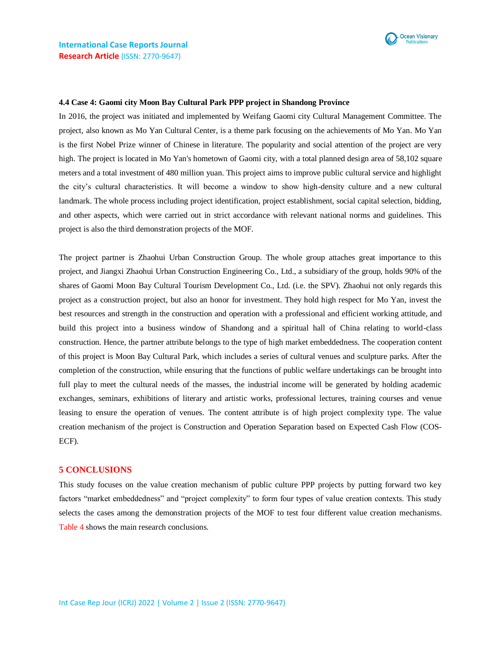

#### **4.4 Case 4: Gaomi city Moon Bay Cultural Park PPP project in Shandong Province**

In 2016, the project was initiated and implemented by Weifang Gaomi city Cultural Management Committee. The project, also known as Mo Yan Cultural Center, is a theme park focusing on the achievements of Mo Yan. Mo Yan is the first Nobel Prize winner of Chinese in literature. The popularity and social attention of the project are very high. The project is located in Mo Yan's hometown of Gaomi city, with a total planned design area of 58,102 square meters and a total investment of 480 million yuan. This project aims to improve public cultural service and highlight the city's cultural characteristics. It will become a window to show high-density culture and a new cultural landmark. The whole process including project identification, project establishment, social capital selection, bidding, and other aspects, which were carried out in strict accordance with relevant national norms and guidelines. This project is also the third demonstration projects of the MOF.

The project partner is Zhaohui Urban Construction Group. The whole group attaches great importance to this project, and Jiangxi Zhaohui Urban Construction Engineering Co., Ltd., a subsidiary of the group, holds 90% of the shares of Gaomi Moon Bay Cultural Tourism Development Co., Ltd. (i.e. the SPV). Zhaohui not only regards this project as a construction project, but also an honor for investment. They hold high respect for Mo Yan, invest the best resources and strength in the construction and operation with a professional and efficient working attitude, and build this project into a business window of Shandong and a spiritual hall of China relating to world-class construction. Hence, the partner attribute belongs to the type of high market embeddedness. The cooperation content of this project is Moon Bay Cultural Park, which includes a series of cultural venues and sculpture parks. After the completion of the construction, while ensuring that the functions of public welfare undertakings can be brought into full play to meet the cultural needs of the masses, the industrial income will be generated by holding academic exchanges, seminars, exhibitions of literary and artistic works, professional lectures, training courses and venue leasing to ensure the operation of venues. The content attribute is of high project complexity type. The value creation mechanism of the project is Construction and Operation Separation based on Expected Cash Flow (COS-ECF).

### **5 CONCLUSIONS**

This study focuses on the value creation mechanism of public culture PPP projects by putting forward two key factors "market embeddedness" and "project complexity" to form four types of value creation contexts. This study selects the cases among the demonstration projects of the MOF to test four different value creation mechanisms. Table 4 shows the main research conclusions.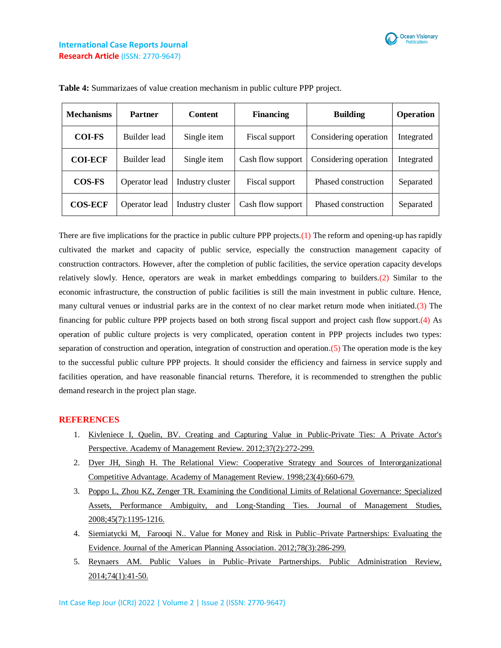

| <b>Mechanisms</b> | <b>Partner</b> | <b>Content</b>   | <b>Financing</b>  | <b>Building</b>       | <b>Operation</b> |
|-------------------|----------------|------------------|-------------------|-----------------------|------------------|
| <b>COI-FS</b>     | Builder lead   | Single item      | Fiscal support    | Considering operation | Integrated       |
| <b>COI-ECF</b>    | Builder lead   | Single item      | Cash flow support | Considering operation | Integrated       |
| <b>COS-FS</b>     | Operator lead  | Industry cluster | Fiscal support    | Phased construction   | Separated        |
| <b>COS-ECF</b>    | Operator lead  | Industry cluster | Cash flow support | Phased construction   | Separated        |

**Table 4:** Summarizaes of value creation mechanism in public culture PPP project.

There are five implications for the practice in public culture PPP projects.(1) The reform and opening-up has rapidly cultivated the market and capacity of public service, especially the construction management capacity of construction contractors. However, after the completion of public facilities, the service operation capacity develops relatively slowly. Hence, operators are weak in market embeddings comparing to builders.(2) Similar to the economic infrastructure, the construction of public facilities is still the main investment in public culture. Hence, many cultural venues or industrial parks are in the context of no clear market return mode when initiated.(3) The financing for public culture PPP projects based on both strong fiscal support and project cash flow support.(4) As operation of public culture projects is very complicated, operation content in PPP projects includes two types: separation of construction and operation, integration of construction and operation.(5) The operation mode is the key to the successful public culture PPP projects. It should consider the efficiency and fairness in service supply and facilities operation, and have reasonable financial returns. Therefore, it is recommended to strengthen the public demand research in the project plan stage.

# **REFERENCES**

- 1. [Kivleniece I, Quelin, BV. Creating and Capturing Value in Public-Private Ties: A Private Actor's](https://journals.aom.org/doi/abs/10.5465/amr.2011.0004)  [Perspective. Academy of Management Review. 2012;37\(2\):272-299.](https://journals.aom.org/doi/abs/10.5465/amr.2011.0004)
- 2. Dyer JH, Singh [H. The Relational View: Cooperative Strategy and Sources of Interorganizational](https://journals.aom.org/doi/abs/10.5465/amr.1998.1255632)  [Competitive Advantage. Academy of Management Review.](https://journals.aom.org/doi/abs/10.5465/amr.1998.1255632) 1998;23(4):660-679.
- 3. [Poppo L, Zhou KZ, Zenger TR. Examining the Conditional Limits](https://onlinelibrary.wiley.com/doi/abs/10.1111/j.1467-6486.2008.00779.x) of Relational Governance: Specialized Assets, Performance Ambiguity, and Long‐[Standing Ties. Journal of Management Studies,](https://onlinelibrary.wiley.com/doi/abs/10.1111/j.1467-6486.2008.00779.x)  [2008;45\(7\):1195-1216.](https://onlinelibrary.wiley.com/doi/abs/10.1111/j.1467-6486.2008.00779.x)
- 4. Siemiatycki M, Farooqi N.. Value for Money [and Risk in Public–Private Partnerships: Evaluating the](https://www.tandfonline.com/doi/abs/10.1080/01944363.2012.715525)  Evidence. Journal of [the American Planning Association. 2012;78\(3\):286-299.](https://www.tandfonline.com/doi/abs/10.1080/01944363.2012.715525)
- 5. Reynaers AM. Public Values [in Public–Private Partnerships. Public Administration Review,](https://onlinelibrary.wiley.com/doi/abs/10.1111/puar.12137)  [2014;74\(1\):41-50.](https://onlinelibrary.wiley.com/doi/abs/10.1111/puar.12137)